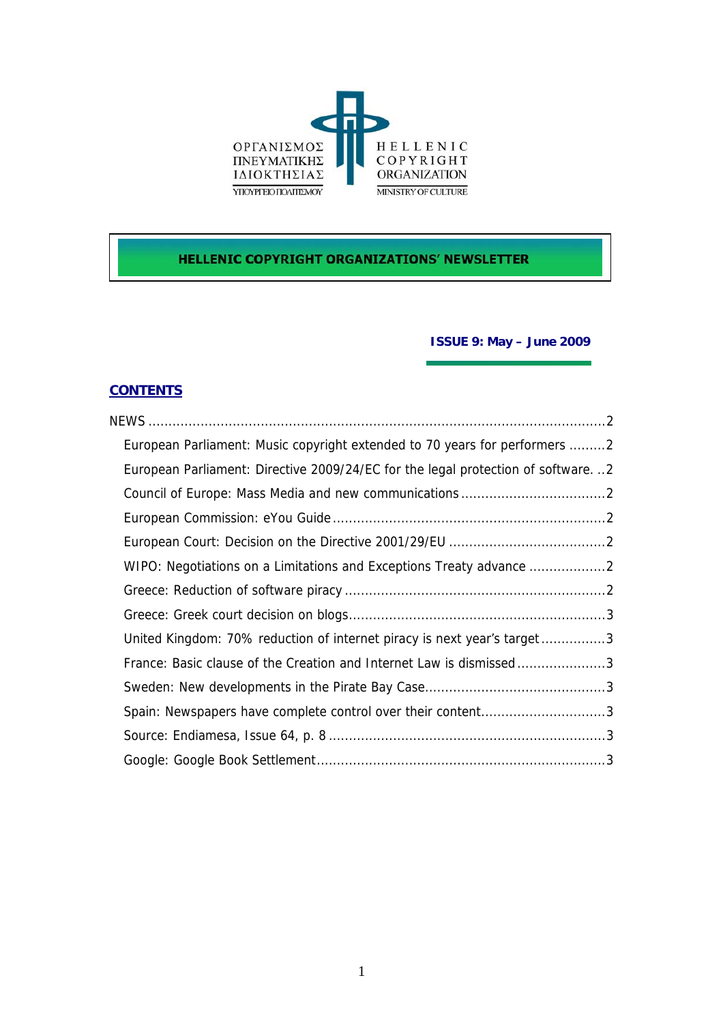

# **HELLENIC COPYRIGHT ORGANIZATIONS' NEWSLETTER**

## **ISSUE 9: May – June 2009**

## **CONTENTS**

| European Parliament: Music copyright extended to 70 years for performers 2      |  |
|---------------------------------------------------------------------------------|--|
| European Parliament: Directive 2009/24/EC for the legal protection of software2 |  |
|                                                                                 |  |
|                                                                                 |  |
|                                                                                 |  |
|                                                                                 |  |
|                                                                                 |  |
|                                                                                 |  |
| United Kingdom: 70% reduction of internet piracy is next year's target3         |  |
| France: Basic clause of the Creation and Internet Law is dismissed3             |  |
|                                                                                 |  |
| Spain: Newspapers have complete control over their content3                     |  |
|                                                                                 |  |
|                                                                                 |  |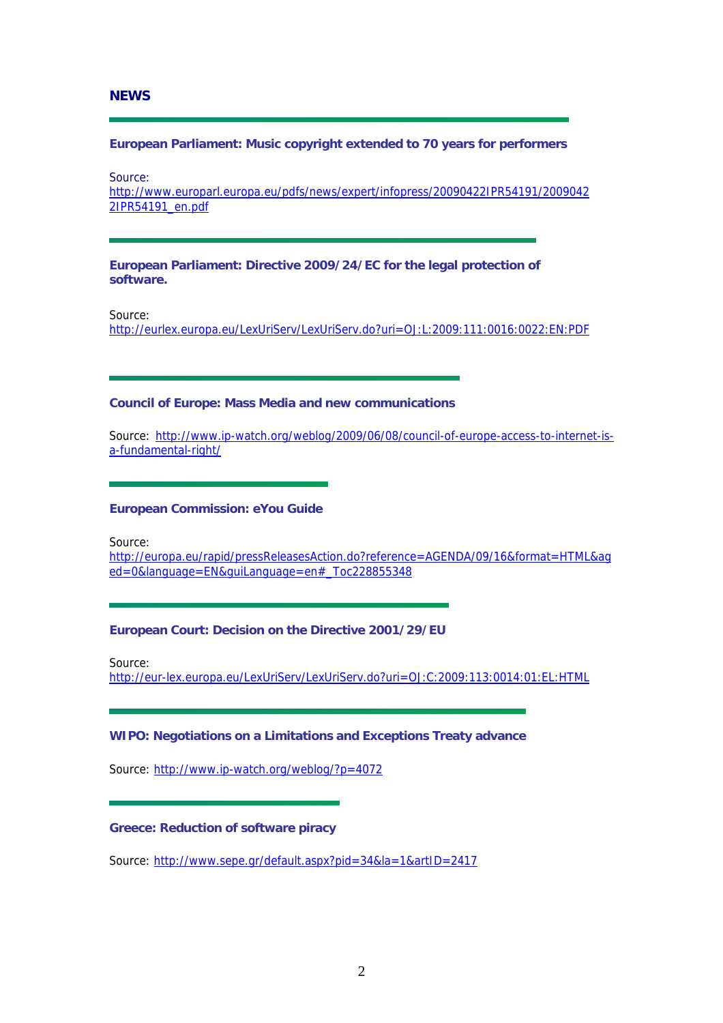## <span id="page-1-0"></span>**NEWS**

### **European Parliament: Music copyright extended to 70 years for performers**

Source:

[http://www.europarl.europa.eu/pdfs/news/expert/infopress/20090422IPR54191/2009042](http://www.europarl.europa.eu/pdfs/news/expert/infopress/20090422IPR54191/20090422IPR54191_en.pdf) [2IPR54191\\_en.pdf](http://www.europarl.europa.eu/pdfs/news/expert/infopress/20090422IPR54191/20090422IPR54191_en.pdf)

**European Parliament: Directive 2009/24/EC for the legal protection of software.** 

Source:

<http://eurlex.europa.eu/LexUriServ/LexUriServ.do?uri=OJ:L:2009:111:0016:0022:EN:PDF>

#### **Council of Europe: Mass Media and new communications**

Source: [http://www.ip-watch.org/weblog/2009/06/08/council-of-europe-access-to-internet-is](http://www.ip-watch.org/weblog/2009/06/08/council-of-europe-access-to-internet-is-a-fundamental-right/)[a-fundamental-right/](http://www.ip-watch.org/weblog/2009/06/08/council-of-europe-access-to-internet-is-a-fundamental-right/) 

#### **European Commission: eYou Guide**

Source:

[http://europa.eu/rapid/pressReleasesAction.do?reference=AGENDA/09/16&format=HTML&ag](http://europa.eu/rapid/pressReleasesAction.do?reference=AGENDA/09/16&format=HTML&aged=0&language=EN&guiLanguage=en#_Toc228855348) [ed=0&language=EN&guiLanguage=en#\\_Toc228855348](http://europa.eu/rapid/pressReleasesAction.do?reference=AGENDA/09/16&format=HTML&aged=0&language=EN&guiLanguage=en#_Toc228855348)

#### **European Court: Decision on the Directive 2001/29/EU**

Source:

<http://eur-lex.europa.eu/LexUriServ/LexUriServ.do?uri=OJ:C:2009:113:0014:01:EL:HTML>

#### **WIPO: Negotiations on a Limitations and Exceptions Treaty advance**

Source: <http://www.ip-watch.org/weblog/?p=4072>

## **Greece: Reduction of software piracy**

Source: <http://www.sepe.gr/default.aspx?pid=34&la=1&artID=2417>